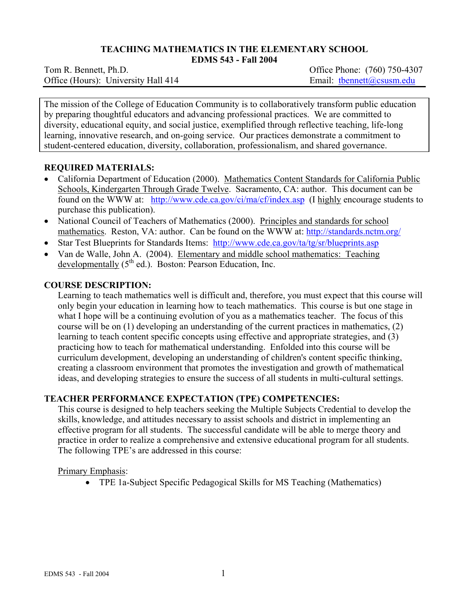## **TEACHING MATHEMATICS IN THE ELEMENTARY SCHOOL**

**EDMS 543 - Fall 2004** 

Office (Hours): University Hall 414 Email: thennett@csusm.edu

Tom R. Bennett, Ph.D. *Commercial Contract Contract Contract Contract Contract Contract Contract Contract Contract Contract Contract Contract Contract Contract Contract Contract Contract Contract Contract Contract Contrac* 

The mission of the College of Education Community is to collaboratively transform public education by preparing thoughtful educators and advancing professional practices. We are committed to diversity, educational equity, and social justice, exemplified through reflective teaching, life-long learning, innovative research, and on-going service. Our practices demonstrate a commitment to student-centered education, diversity, collaboration, professionalism, and shared governance.

## **REQUIRED MATERIALS:**

- California Department of Education (2000). Mathematics Content Standards for California Public Schools, Kindergarten Through Grade Twelve. Sacramento, CA: author. This document can be found on the WWW at: http://www.cde.ca.gov/ci/ma/cf/index.asp (I highly encourage students to purchase this publication).
- National Council of Teachers of Mathematics (2000). Principles and standards for school mathematics. Reston, VA: author. Can be found on the WWW at: http://standards.nctm.org/
- Star Test Blueprints for Standards Items: http://www.cde.ca.gov/ta/tg/sr/blueprints.asp
- Van de Walle, John A. (2004). Elementary and middle school mathematics: Teaching developmentally  $(5<sup>th</sup>$  ed.). Boston: Pearson Education, Inc.

## **COURSE DESCRIPTION:**

Learning to teach mathematics well is difficult and, therefore, you must expect that this course will only begin your education in learning how to teach mathematics. This course is but one stage in what I hope will be a continuing evolution of you as a mathematics teacher. The focus of this course will be on (1) developing an understanding of the current practices in mathematics, (2) learning to teach content specific concepts using effective and appropriate strategies, and (3) practicing how to teach for mathematical understanding. Enfolded into this course will be curriculum development, developing an understanding of children's content specific thinking, creating a classroom environment that promotes the investigation and growth of mathematical ideas, and developing strategies to ensure the success of all students in multi-cultural settings.

## **TEACHER PERFORMANCE EXPECTATION (TPE) COMPETENCIES:**

This course is designed to help teachers seeking the Multiple Subjects Credential to develop the skills, knowledge, and attitudes necessary to assist schools and district in implementing an effective program for all students. The successful candidate will be able to merge theory and practice in order to realize a comprehensive and extensive educational program for all students. The following TPE's are addressed in this course:

#### Primary Emphasis:

• TPE 1a-Subject Specific Pedagogical Skills for MS Teaching (Mathematics)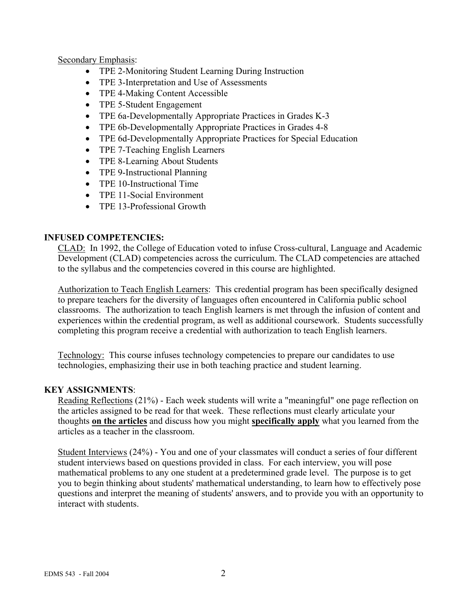Secondary Emphasis:

- TPE 2-Monitoring Student Learning During Instruction
- TPE 3-Interpretation and Use of Assessments
- TPE 4-Making Content Accessible
- TPE 5-Student Engagement
- TPE 6a-Developmentally Appropriate Practices in Grades K-3
- TPE 6b-Developmentally Appropriate Practices in Grades 4-8
- TPE 6d-Developmentally Appropriate Practices for Special Education
- TPE 7-Teaching English Learners
- TPE 8-Learning About Students
- TPE 9-Instructional Planning
- TPE 10-Instructional Time
- TPE 11-Social Environment
- TPE 13-Professional Growth

## **INFUSED COMPETENCIES:**

CLAD: In 1992, the College of Education voted to infuse Cross-cultural, Language and Academic Development (CLAD) competencies across the curriculum. The CLAD competencies are attached to the syllabus and the competencies covered in this course are highlighted.

Authorization to Teach English Learners: This credential program has been specifically designed to prepare teachers for the diversity of languages often encountered in California public school classrooms. The authorization to teach English learners is met through the infusion of content and experiences within the credential program, as well as additional coursework. Students successfully completing this program receive a credential with authorization to teach English learners.

Technology: This course infuses technology competencies to prepare our candidates to use technologies, emphasizing their use in both teaching practice and student learning.

## **KEY ASSIGNMENTS**:

Reading Reflections (21%) - Each week students will write a "meaningful" one page reflection on the articles assigned to be read for that week. These reflections must clearly articulate your thoughts **on the articles** and discuss how you might **specifically apply** what you learned from the articles as a teacher in the classroom.

Student Interviews (24%) - You and one of your classmates will conduct a series of four different student interviews based on questions provided in class. For each interview, you will pose mathematical problems to any one student at a predetermined grade level. The purpose is to get you to begin thinking about students' mathematical understanding, to learn how to effectively pose questions and interpret the meaning of students' answers, and to provide you with an opportunity to interact with students.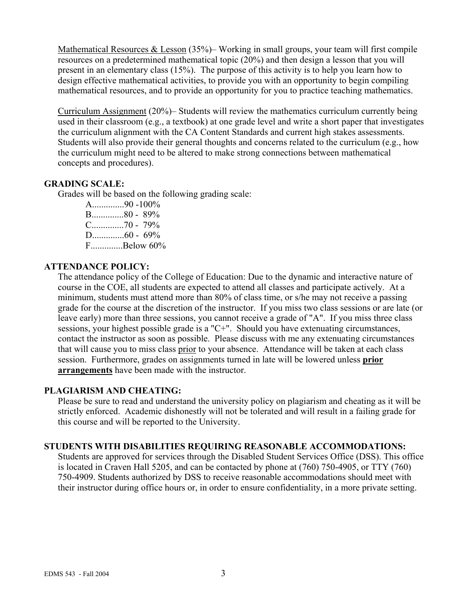Mathematical Resources & Lesson (35%)– Working in small groups, your team will first compile resources on a predetermined mathematical topic (20%) and then design a lesson that you will present in an elementary class (15%). The purpose of this activity is to help you learn how to design effective mathematical activities, to provide you with an opportunity to begin compiling mathematical resources, and to provide an opportunity for you to practice teaching mathematics.

Curriculum Assignment (20%)– Students will review the mathematics curriculum currently being used in their classroom (e.g., a textbook) at one grade level and write a short paper that investigates the curriculum alignment with the CA Content Standards and current high stakes assessments. Students will also provide their general thoughts and concerns related to the curriculum (e.g., how the curriculum might need to be altered to make strong connections between mathematical concepts and procedures).

## **GRADING SCALE:**

Grades will be based on the following grading scale:

A..............90 -100% B..............80 - 89% C..............70 - 79% D..............60 - 69% F..............Below 60%

## **ATTENDANCE POLICY:**

The attendance policy of the College of Education: Due to the dynamic and interactive nature of course in the COE, all students are expected to attend all classes and participate actively. At a minimum, students must attend more than 80% of class time, or s/he may not receive a passing grade for the course at the discretion of the instructor. If you miss two class sessions or are late (or leave early) more than three sessions, you cannot receive a grade of "A". If you miss three class sessions, your highest possible grade is a "C+". Should you have extenuating circumstances, contact the instructor as soon as possible. Please discuss with me any extenuating circumstances that will cause you to miss class prior to your absence. Attendance will be taken at each class session. Furthermore, grades on assignments turned in late will be lowered unless **prior arrangements** have been made with the instructor.

## **PLAGIARISM AND CHEATING:**

Please be sure to read and understand the university policy on plagiarism and cheating as it will be strictly enforced. Academic dishonestly will not be tolerated and will result in a failing grade for this course and will be reported to the University.

## **STUDENTS WITH DISABILITIES REQUIRING REASONABLE ACCOMMODATIONS:**

Students are approved for services through the Disabled Student Services Office (DSS). This office is located in Craven Hall 5205, and can be contacted by phone at (760) 750-4905, or TTY (760) 750-4909. Students authorized by DSS to receive reasonable accommodations should meet with their instructor during office hours or, in order to ensure confidentiality, in a more private setting.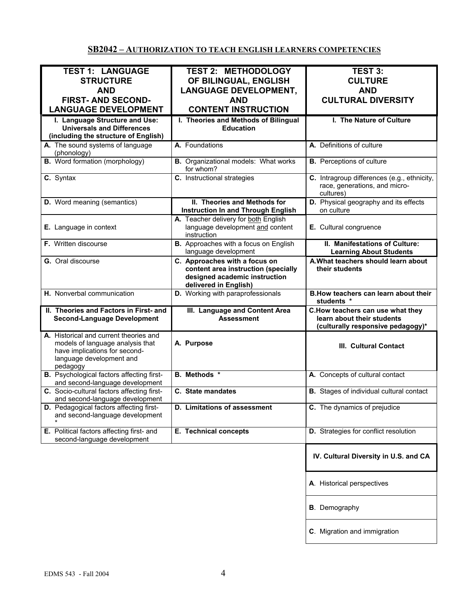# **SB2042 – AUTHORIZATION TO TEACH ENGLISH LEARNERS COMPETENCIES**

| <b>TEST 1: LANGUAGE</b>                          | <b>TEST 2: METHODOLOGY</b>                   | <b>TEST 3:</b>                                  |
|--------------------------------------------------|----------------------------------------------|-------------------------------------------------|
| <b>STRUCTURE</b>                                 | OF BILINGUAL, ENGLISH                        | <b>CULTURE</b>                                  |
|                                                  |                                              |                                                 |
| <b>AND</b>                                       | <b>LANGUAGE DEVELOPMENT,</b>                 | <b>AND</b>                                      |
| <b>FIRST- AND SECOND-</b>                        | <b>AND</b>                                   | <b>CULTURAL DIVERSITY</b>                       |
| <b>LANGUAGE DEVELOPMENT</b>                      | <b>CONTENT INSTRUCTION</b>                   |                                                 |
| I. Language Structure and Use:                   | I. Theories and Methods of Bilingual         | I. The Nature of Culture                        |
|                                                  |                                              |                                                 |
| <b>Universals and Differences</b>                | <b>Education</b>                             |                                                 |
| (including the structure of English)             |                                              |                                                 |
| A. The sound systems of language                 | A. Foundations                               | A. Definitions of culture                       |
| (phonology)                                      |                                              |                                                 |
| <b>B.</b> Word formation (morphology)            | <b>B.</b> Organizational models: What works  | <b>B.</b> Perceptions of culture                |
|                                                  | for whom?                                    |                                                 |
| C. Syntax                                        | C. Instructional strategies                  | C. Intragroup differences (e.g., ethnicity,     |
|                                                  |                                              | race, generations, and micro-                   |
|                                                  |                                              | cultures)                                       |
|                                                  |                                              |                                                 |
| D. Word meaning (semantics)                      | II. Theories and Methods for                 | D. Physical geography and its effects           |
|                                                  | <b>Instruction In and Through English</b>    | on culture                                      |
|                                                  | A. Teacher delivery for both English         |                                                 |
| E. Language in context                           | language development and content             | E. Cultural congruence                          |
|                                                  | instruction                                  |                                                 |
| <b>F.</b> Written discourse                      | <b>B.</b> Approaches with a focus on English | II. Manifestations of Culture:                  |
|                                                  | language development                         | <b>Learning About Students</b>                  |
|                                                  |                                              |                                                 |
| G. Oral discourse                                | C. Approaches with a focus on                | A. What teachers should learn about             |
|                                                  | content area instruction (specially          | their students                                  |
|                                                  | designed academic instruction                |                                                 |
|                                                  | delivered in English)                        |                                                 |
| H. Nonverbal communication                       | D. Working with paraprofessionals            | B. How teachers can learn about their           |
|                                                  |                                              | students *                                      |
| II. Theories and Factors in First- and           | III. Language and Content Area               | C.How teachers can use what they                |
| <b>Second-Language Development</b>               | <b>Assessment</b>                            | learn about their students                      |
|                                                  |                                              | (culturally responsive pedagogy)*               |
|                                                  |                                              |                                                 |
| A. Historical and current theories and           |                                              |                                                 |
| models of language analysis that                 | A. Purpose                                   | III. Cultural Contact                           |
| have implications for second-                    |                                              |                                                 |
| language development and                         |                                              |                                                 |
| pedagogy                                         |                                              |                                                 |
| <b>B.</b> Psychological factors affecting first- | <b>B.</b> Methods *                          | A. Concepts of cultural contact                 |
| and second-language development                  |                                              |                                                 |
| C. Socio-cultural factors affecting first-       | C. State mandates                            | <b>B.</b> Stages of individual cultural contact |
|                                                  |                                              |                                                 |
|                                                  |                                              |                                                 |
| and second-language development                  |                                              |                                                 |
| D. Pedagogical factors affecting first-          | D. Limitations of assessment                 | C. The dynamics of prejudice                    |
| and second-language development                  |                                              |                                                 |
|                                                  |                                              |                                                 |
| E. Political factors affecting first- and        | E. Technical concepts                        | D. Strategies for conflict resolution           |
| second-language development                      |                                              |                                                 |
|                                                  |                                              |                                                 |
|                                                  |                                              | IV. Cultural Diversity in U.S. and CA           |
|                                                  |                                              |                                                 |
|                                                  |                                              |                                                 |
|                                                  |                                              |                                                 |
|                                                  |                                              | A. Historical perspectives                      |
|                                                  |                                              |                                                 |
|                                                  |                                              |                                                 |
|                                                  |                                              | <b>B</b> . Demography                           |
|                                                  |                                              |                                                 |
|                                                  |                                              |                                                 |
|                                                  |                                              | C. Migration and immigration                    |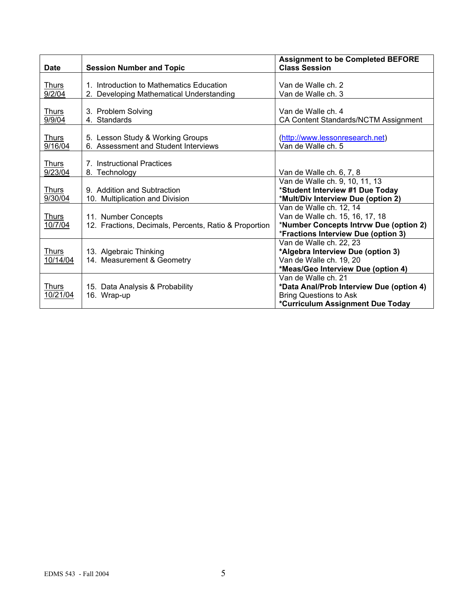| <b>Date</b>              | <b>Session Number and Topic</b>                                                      | <b>Assignment to be Completed BEFORE</b><br><b>Class Session</b>                                                                            |
|--------------------------|--------------------------------------------------------------------------------------|---------------------------------------------------------------------------------------------------------------------------------------------|
| <b>Thurs</b><br>9/2/04   | 1. Introduction to Mathematics Education<br>2. Developing Mathematical Understanding | Van de Walle ch. 2<br>Van de Walle ch. 3                                                                                                    |
| Thurs<br>9/9/04          | 3. Problem Solving<br>4. Standards                                                   | Van de Walle ch. 4<br>CA Content Standards/NCTM Assignment                                                                                  |
| <u>Thurs</u><br>9/16/04  | 5. Lesson Study & Working Groups<br>6. Assessment and Student Interviews             | (http://www.lessonresearch.net)<br>Van de Walle ch. 5                                                                                       |
| <b>Thurs</b><br>9/23/04  | 7. Instructional Practices<br>8. Technology                                          | Van de Walle ch. 6, 7, 8                                                                                                                    |
| <b>Thurs</b><br>9/30/04  | 9. Addition and Subtraction<br>10. Multiplication and Division                       | Van de Walle ch. 9, 10, 11, 13<br>*Student Interview #1 Due Today<br>*Mult/Div Interview Due (option 2)                                     |
| <u>Thurs</u><br>10/7/04  | 11. Number Concepts<br>12. Fractions, Decimals, Percents, Ratio & Proportion         | Van de Walle ch. 12, 14<br>Van de Walle ch. 15, 16, 17, 18<br>*Number Concepts Intrvw Due (option 2)<br>*Fractions Interview Due (option 3) |
| <u>Thurs</u><br>10/14/04 | 13. Algebraic Thinking<br>14. Measurement & Geometry                                 | Van de Walle ch. 22, 23<br>*Algebra Interview Due (option 3)<br>Van de Walle ch. 19, 20<br>*Meas/Geo Interview Due (option 4)               |
| <b>Thurs</b><br>10/21/04 | 15. Data Analysis & Probability<br>16. Wrap-up                                       | Van de Walle ch. 21<br>*Data Anal/Prob Interview Due (option 4)<br><b>Bring Questions to Ask</b><br>*Curriculum Assignment Due Today        |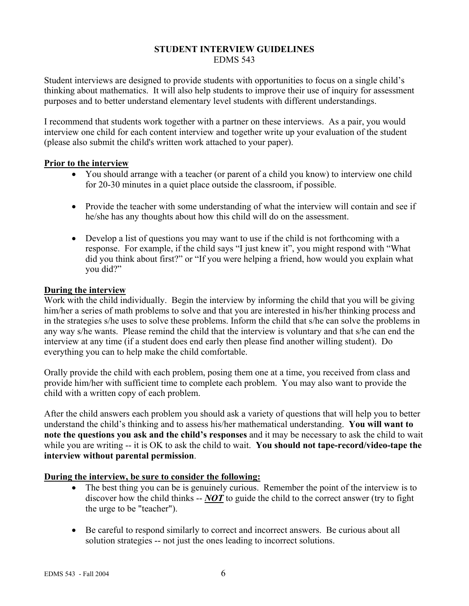#### **STUDENT INTERVIEW GUIDELINES**  EDMS 543

Student interviews are designed to provide students with opportunities to focus on a single child's thinking about mathematics. It will also help students to improve their use of inquiry for assessment purposes and to better understand elementary level students with different understandings.

I recommend that students work together with a partner on these interviews. As a pair, you would interview one child for each content interview and together write up your evaluation of the student (please also submit the child's written work attached to your paper).

## **Prior to the interview**

- You should arrange with a teacher (or parent of a child you know) to interview one child for 20-30 minutes in a quiet place outside the classroom, if possible.
- Provide the teacher with some understanding of what the interview will contain and see if he/she has any thoughts about how this child will do on the assessment.
- Develop a list of questions you may want to use if the child is not forthcoming with a response. For example, if the child says "I just knew it", you might respond with "What did you think about first?" or "If you were helping a friend, how would you explain what you did?"

## **During the interview**

Work with the child individually. Begin the interview by informing the child that you will be giving him/her a series of math problems to solve and that you are interested in his/her thinking process and in the strategies s/he uses to solve these problems. Inform the child that s/he can solve the problems in any way s/he wants. Please remind the child that the interview is voluntary and that s/he can end the interview at any time (if a student does end early then please find another willing student). Do everything you can to help make the child comfortable.

Orally provide the child with each problem, posing them one at a time, you received from class and provide him/her with sufficient time to complete each problem. You may also want to provide the child with a written copy of each problem.

After the child answers each problem you should ask a variety of questions that will help you to better understand the child's thinking and to assess his/her mathematical understanding. **You will want to note the questions you ask and the child's responses** and it may be necessary to ask the child to wait while you are writing -- it is OK to ask the child to wait. **You should not tape-record/video-tape the interview without parental permission**.

# **During the interview, be sure to consider the following:**

- The best thing you can be is genuinely curious. Remember the point of the interview is to discover how the child thinks -- *NOT* to guide the child to the correct answer (try to fight the urge to be "teacher").
- Be careful to respond similarly to correct and incorrect answers. Be curious about all solution strategies -- not just the ones leading to incorrect solutions.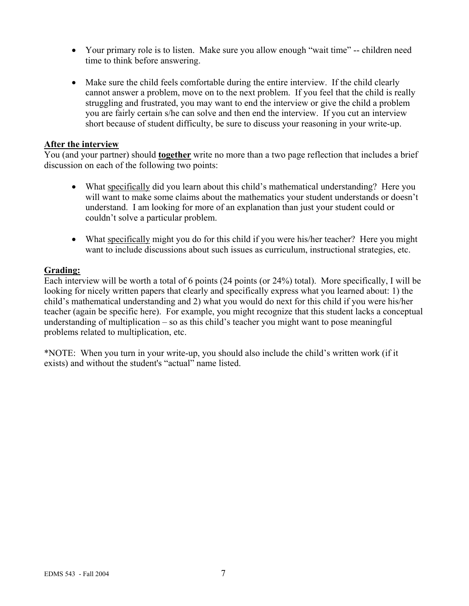- Your primary role is to listen. Make sure you allow enough "wait time" -- children need time to think before answering.
- Make sure the child feels comfortable during the entire interview. If the child clearly cannot answer a problem, move on to the next problem. If you feel that the child is really struggling and frustrated, you may want to end the interview or give the child a problem you are fairly certain s/he can solve and then end the interview. If you cut an interview short because of student difficulty, be sure to discuss your reasoning in your write-up.

#### **After the interview**

You (and your partner) should **together** write no more than a two page reflection that includes a brief discussion on each of the following two points:

- What specifically did you learn about this child's mathematical understanding? Here you will want to make some claims about the mathematics your student understands or doesn't understand. I am looking for more of an explanation than just your student could or couldn't solve a particular problem.
- What specifically might you do for this child if you were his/her teacher? Here you might want to include discussions about such issues as curriculum, instructional strategies, etc.

## **Grading:**

Each interview will be worth a total of 6 points (24 points (or 24%) total). More specifically, I will be looking for nicely written papers that clearly and specifically express what you learned about: 1) the child's mathematical understanding and 2) what you would do next for this child if you were his/her teacher (again be specific here). For example, you might recognize that this student lacks a conceptual understanding of multiplication – so as this child's teacher you might want to pose meaningful problems related to multiplication, etc.

\*NOTE: When you turn in your write-up, you should also include the child's written work (if it exists) and without the student's "actual" name listed.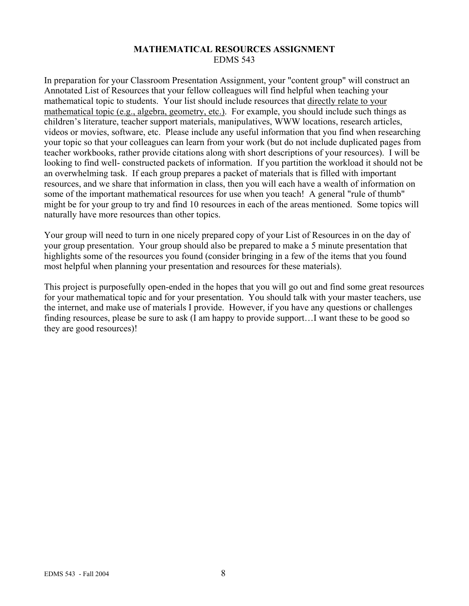## **MATHEMATICAL RESOURCES ASSIGNMENT**  EDMS 543

In preparation for your Classroom Presentation Assignment, your "content group" will construct an Annotated List of Resources that your fellow colleagues will find helpful when teaching your mathematical topic to students. Your list should include resources that directly relate to your mathematical topic (e.g., algebra, geometry, etc.). For example, you should include such things as children's literature, teacher support materials, manipulatives, WWW locations, research articles, videos or movies, software, etc. Please include any useful information that you find when researching your topic so that your colleagues can learn from your work (but do not include duplicated pages from teacher workbooks, rather provide citations along with short descriptions of your resources). I will be looking to find well- constructed packets of information. If you partition the workload it should not be an overwhelming task. If each group prepares a packet of materials that is filled with important resources, and we share that information in class, then you will each have a wealth of information on some of the important mathematical resources for use when you teach! A general "rule of thumb" might be for your group to try and find 10 resources in each of the areas mentioned. Some topics will naturally have more resources than other topics.

Your group will need to turn in one nicely prepared copy of your List of Resources in on the day of your group presentation. Your group should also be prepared to make a 5 minute presentation that highlights some of the resources you found (consider bringing in a few of the items that you found most helpful when planning your presentation and resources for these materials).

This project is purposefully open-ended in the hopes that you will go out and find some great resources for your mathematical topic and for your presentation. You should talk with your master teachers, use the internet, and make use of materials I provide. However, if you have any questions or challenges finding resources, please be sure to ask (I am happy to provide support…I want these to be good so they are good resources)!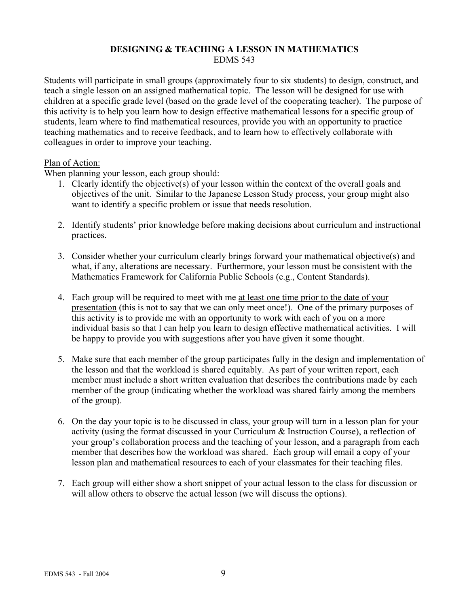## **DESIGNING & TEACHING A LESSON IN MATHEMATICS**  EDMS 543

Students will participate in small groups (approximately four to six students) to design, construct, and teach a single lesson on an assigned mathematical topic. The lesson will be designed for use with children at a specific grade level (based on the grade level of the cooperating teacher). The purpose of this activity is to help you learn how to design effective mathematical lessons for a specific group of students, learn where to find mathematical resources, provide you with an opportunity to practice teaching mathematics and to receive feedback, and to learn how to effectively collaborate with colleagues in order to improve your teaching.

## Plan of Action:

When planning your lesson, each group should:

- 1. Clearly identify the objective(s) of your lesson within the context of the overall goals and objectives of the unit. Similar to the Japanese Lesson Study process, your group might also want to identify a specific problem or issue that needs resolution.
- 2. Identify students' prior knowledge before making decisions about curriculum and instructional practices.
- 3. Consider whether your curriculum clearly brings forward your mathematical objective(s) and what, if any, alterations are necessary. Furthermore, your lesson must be consistent with the Mathematics Framework for California Public Schools (e.g., Content Standards).
- 4. Each group will be required to meet with me at least one time prior to the date of your presentation (this is not to say that we can only meet once!). One of the primary purposes of this activity is to provide me with an opportunity to work with each of you on a more individual basis so that I can help you learn to design effective mathematical activities. I will be happy to provide you with suggestions after you have given it some thought.
- 5. Make sure that each member of the group participates fully in the design and implementation of the lesson and that the workload is shared equitably. As part of your written report, each member must include a short written evaluation that describes the contributions made by each member of the group (indicating whether the workload was shared fairly among the members of the group).
- 6. On the day your topic is to be discussed in class, your group will turn in a lesson plan for your activity (using the format discussed in your Curriculum & Instruction Course), a reflection of your group's collaboration process and the teaching of your lesson, and a paragraph from each member that describes how the workload was shared. Each group will email a copy of your lesson plan and mathematical resources to each of your classmates for their teaching files.
- 7. Each group will either show a short snippet of your actual lesson to the class for discussion or will allow others to observe the actual lesson (we will discuss the options).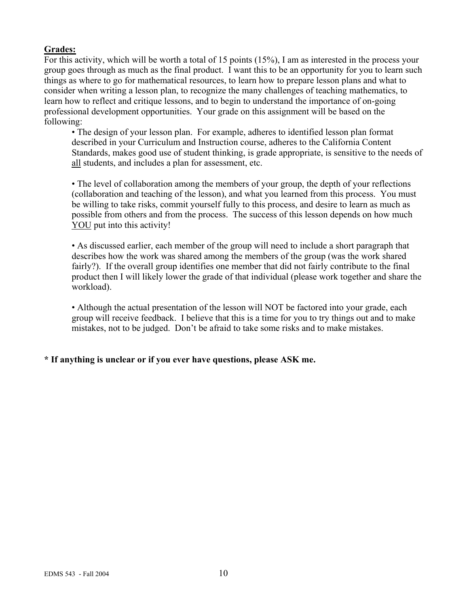# **Grades:**

For this activity, which will be worth a total of 15 points (15%), I am as interested in the process your group goes through as much as the final product. I want this to be an opportunity for you to learn such things as where to go for mathematical resources, to learn how to prepare lesson plans and what to consider when writing a lesson plan, to recognize the many challenges of teaching mathematics, to learn how to reflect and critique lessons, and to begin to understand the importance of on-going professional development opportunities. Your grade on this assignment will be based on the following:

• The design of your lesson plan. For example, adheres to identified lesson plan format described in your Curriculum and Instruction course, adheres to the California Content Standards, makes good use of student thinking, is grade appropriate, is sensitive to the needs of all students, and includes a plan for assessment, etc.

• The level of collaboration among the members of your group, the depth of your reflections (collaboration and teaching of the lesson), and what you learned from this process. You must be willing to take risks, commit yourself fully to this process, and desire to learn as much as possible from others and from the process. The success of this lesson depends on how much YOU put into this activity!

• As discussed earlier, each member of the group will need to include a short paragraph that describes how the work was shared among the members of the group (was the work shared fairly?). If the overall group identifies one member that did not fairly contribute to the final product then I will likely lower the grade of that individual (please work together and share the workload).

• Although the actual presentation of the lesson will NOT be factored into your grade, each group will receive feedback. I believe that this is a time for you to try things out and to make mistakes, not to be judged. Don't be afraid to take some risks and to make mistakes.

# **\* If anything is unclear or if you ever have questions, please ASK me.**